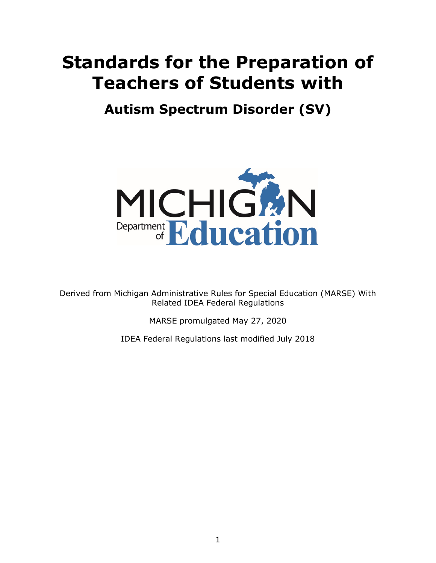## **Standards for the Preparation of Teachers of Students with**

 **Autism Spectrum Disorder (SV)** 



Derived from Michigan Administrative Rules for Special Education (MARSE) With Related IDEA Federal Regulations

MARSE promulgated May 27, 2020

IDEA Federal Regulations last modified July 2018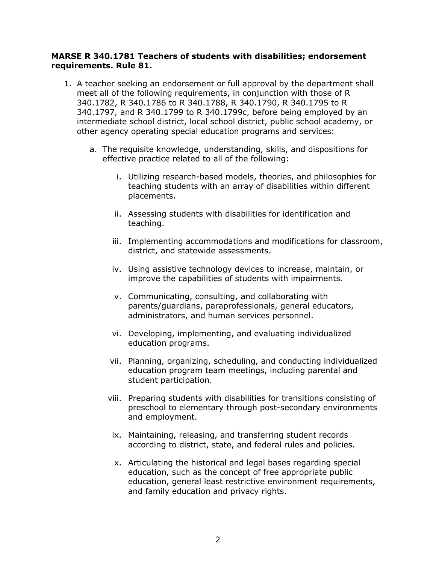## **MARSE R 340.1781 Teachers of students with disabilities; endorsement requirements. Rule 81.**

- 340.1782, R 340.1786 to R 340.1788, R 340.1790, R 340.1795 to R 1. A teacher seeking an endorsement or full approval by the department shall meet all of the following requirements, in conjunction with those of R 340.1797, and R 340.1799 to R 340.1799c, before being employed by an intermediate school district, local school district, public school academy, or other agency operating special education programs and services:
	- a. The requisite knowledge, understanding, skills, and dispositions for effective practice related to all of the following:
		- i. Utilizing research-based models, theories, and philosophies for teaching students with an array of disabilities within different placements.
		- ii. Assessing students with disabilities for identification and teaching.
		- iii. Implementing accommodations and modifications for classroom, district, and statewide assessments.
		- iv. Using assistive technology devices to increase, maintain, or improve the capabilities of students with impairments.
		- v. Communicating, consulting, and collaborating with parents/guardians, paraprofessionals, general educators, administrators, and human services personnel.
		- vi. Developing, implementing, and evaluating individualized education programs.
		- vii. Planning, organizing, scheduling, and conducting individualized education program team meetings, including parental and student participation.
		- viii. Preparing students with disabilities for transitions consisting of preschool to elementary through post-secondary environments and employment.
		- ix. Maintaining, releasing, and transferring student records according to district, state, and federal rules and policies.
		- x. Articulating the historical and legal bases regarding special education, such as the concept of free appropriate public education, general least restrictive environment requirements, and family education and privacy rights.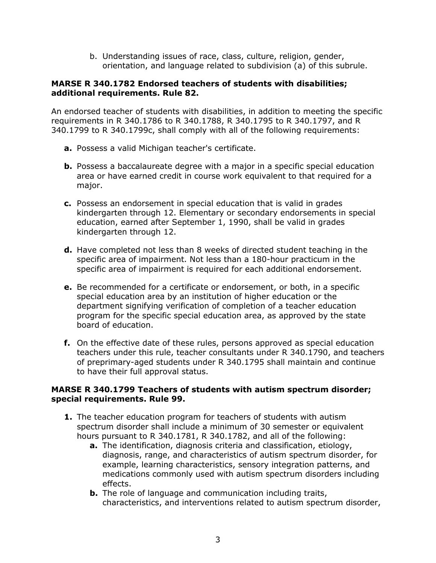b. Understanding issues of race, class, culture, religion, gender, orientation, and language related to subdivision (a) of this subrule.

## **MARSE R 340.1782 Endorsed teachers of students with disabilities; additional requirements. Rule 82.**

An endorsed teacher of students with disabilities, in addition to meeting the specific requirements in R 340.1786 to R 340.1788, R 340.1795 to R 340.1797, and R 340.1799 to R 340.1799c, shall comply with all of the following requirements:

- **a.** Possess a valid Michigan teacher's certificate.
- **b.** Possess a baccalaureate degree with a major in a specific special education area or have earned credit in course work equivalent to that required for a major.
- **c.** Possess an endorsement in special education that is valid in grades kindergarten through 12. Elementary or secondary endorsements in special education, earned after September 1, 1990, shall be valid in grades kindergarten through 12.
- **d.** Have completed not less than 8 weeks of directed student teaching in the specific area of impairment. Not less than a 180-hour practicum in the specific area of impairment is required for each additional endorsement.
- **e.** Be recommended for a certificate or endorsement, or both, in a specific special education area by an institution of higher education or the department signifying verification of completion of a teacher education program for the specific special education area, as approved by the state board of education.
- **f.** On the effective date of these rules, persons approved as special education teachers under this rule, teacher consultants under R 340.1790, and teachers of preprimary-aged students under R 340.1795 shall maintain and continue to have their full approval status.

## **MARSE R 340.1799 Teachers of students with autism spectrum disorder; special requirements. Rule 99.**

- **1.** The teacher education program for teachers of students with autism spectrum disorder shall include a minimum of 30 semester or equivalent hours pursuant to R 340.1781, R 340.1782, and all of the following:
	- **a.** The identification, diagnosis criteria and classification, etiology, diagnosis, range, and characteristics of autism spectrum disorder, for example, learning characteristics, sensory integration patterns, and medications commonly used with autism spectrum disorders including effects.
	- **b.** The role of language and communication including traits, characteristics, and interventions related to autism spectrum disorder,